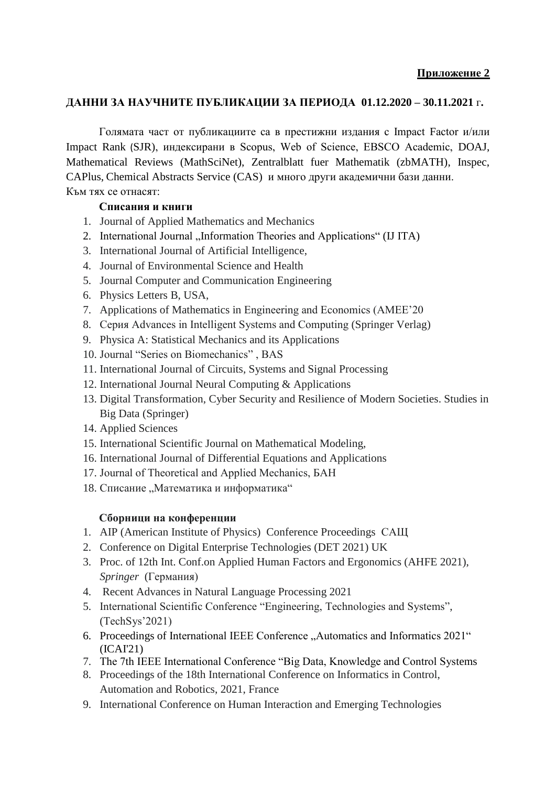## **ДАННИ ЗА НАУЧНИТЕ ПУБЛИКАЦИИ ЗА ПЕРИОДА 01.12.2020 – 30.11.2021** г**.**

Голямата част от публикациите са в престижни издания с Impact Factor и/или Impact Rank (SJR), индексирани в Scopus, Web of Science, EBSCO Academic, DOAJ, Mathematical Reviews (MathSciNet), Zentralblatt fuer Mathematik (zbMATH), Inspec, CAPlus, Chemical Abstracts Service (CAS) и много други академични бази данни. Към тях се отнасят:

## **Списания и книги**

- 1. Journal of Applied Mathematics and Mechanics
- 2. International Journal "Information Theories and Applications" (IJ ITA)
- 3. International Journal of Artificial Intelligence,
- 4. Journal of Environmental Science and Health
- 5. Journal Computer and Communication Engineering
- 6. Physics Letters B, USA,
- 7. Applications of Mathematics in Engineering and Economics (AMEE'20
- 8. Серия Advances in Intelligent Systems and Computing (Springer Verlag)
- 9. Physica A: Statistical Mechanics and its Applications
- 10. Journal "Series on Biomechanics" , BAS
- 11. International Journal of Circuits, Systems and Signal Processing
- 12. International Journal Neural Computing & Applications
- 13. Digital Transformation, Cyber Security and Resilience of Modern Societies. Studies in Big Data (Springer)
- 14. Applied Sciences
- 15. International Scientific Journal on Mathematical Modeling,
- 16. International Journal of Differential Equations and Applications
- 17. Journal of Theoretical and Applied Mechanics, БАН
- 18. Списание "Математика и информатика"

# **Сборници на конференции**

- 1. AIP (American Institute of Physics) Conference Proceedings САЩ
- 2. Conference on Digital Enterprise Technologies (DET 2021) UK
- 3. Proc. of 12th Int. Conf.on Applied Human Factors and Ergonomics (AHFE 2021), *Springer* (Германия)
- 4. Recent Advances in Natural Language Processing 2021
- 5. International Scientific Conference "Engineering, Technologies and Systems", (TechSys'2021)
- 6. Proceedings of International IEEE Conference "Automatics and Informatics 2021" (ICAI'21)
- 7. The 7th IEEE International Conference "Big Data, Knowledge and Control Systems
- 8. Proceedings of the 18th International Conference on Informatics in Control, Automation and Robotics, 2021, France
- 9. International Conference on Human Interaction and Emerging Technologies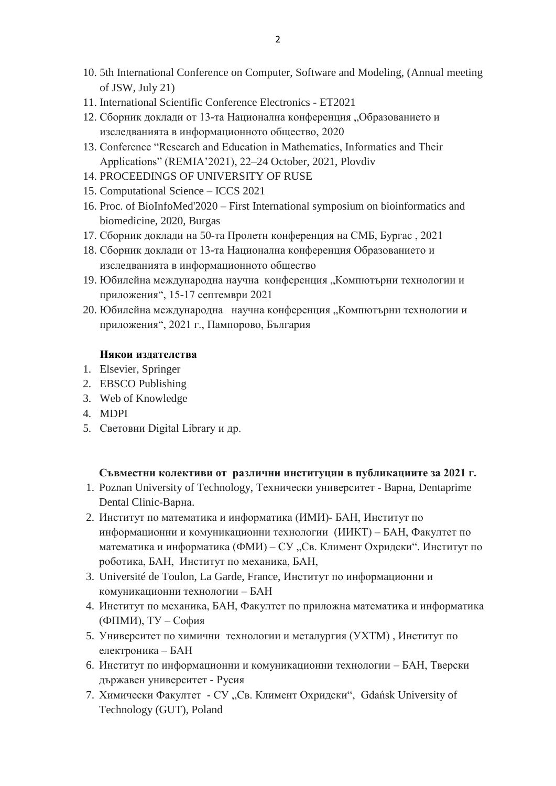- 10. 5th International Conference on Computer, Software and Modeling, (Annual meeting of JSW, July 21)
- 11. International Scientific Conference Electronics ET2021
- 12. Сборник доклади от 13-та Национална конференция "Образованието и изследванията в информационното общество, 2020
- 13. Conference "Research and Education in Mathematics, Informatics and Their Applications" (REMIA'2021), 22–24 October, 2021, Plovdiv
- 14. PROCEEDINGS OF UNIVERSITY OF RUSE
- 15. Computational Science ICCS 2021
- 16. Proc. of BioInfoMed'2020 First International symposium on bioinformatics and biomedicine, 2020, Burgas
- 17. Сборник доклади на 50-та Пролетн конференция на СМБ, Бургас , 2021
- 18. Сборник доклади от 13-та Национална конференция Образованието и изследванията в информационното общество
- 19. Юбилейна международна научна конференция "Компютърни технологии и приложения", 15-17 септември 2021
- 20. Юбилейна международна научна конференция "Компютърни технологии и приложения", 2021 г., Пампорово, България

#### **Някои издателства**

- 1. Elsevier, Springer
- 2. EBSCO Publishing
- 3. Web of Knowledge
- 4. MDPI
- 5. Световни Digital Library и др.

### **Съвместни колективи от различни институции в публикациите за 2021 г.**

- 1. Poznan University of Technology, Технически университет Варна, Dentaprime Dental Clinic-Варна.
- 2. Институт по математика и информатика (ИМИ)- БАН, Институт по информационни и комуникационни технологии (ИИКТ) – БАН, Факултет по математика и информатика (ФМИ) – СУ "Св. Климент Охридски". Институт по роботика, БАН, Институт по механика, БАН,
- 3. Université de Toulon, La Garde, France, Институт по информационни и комуникационни технологии – БАН
- 4. Институт по механика, БАН, Факултет по приложна математика и информатика (ФПМИ), ТУ – София
- 5. Университет по химични технологии и металургия (УХТМ) , Институт по електроника – БАН
- 6. Институт по информационни и комуникационни технологии БАН, Тверски държавен университет - Русия
- 7. Химически Факултет СУ "Св. Климент Охридски", Gdańsk University of Technology (GUT), Poland